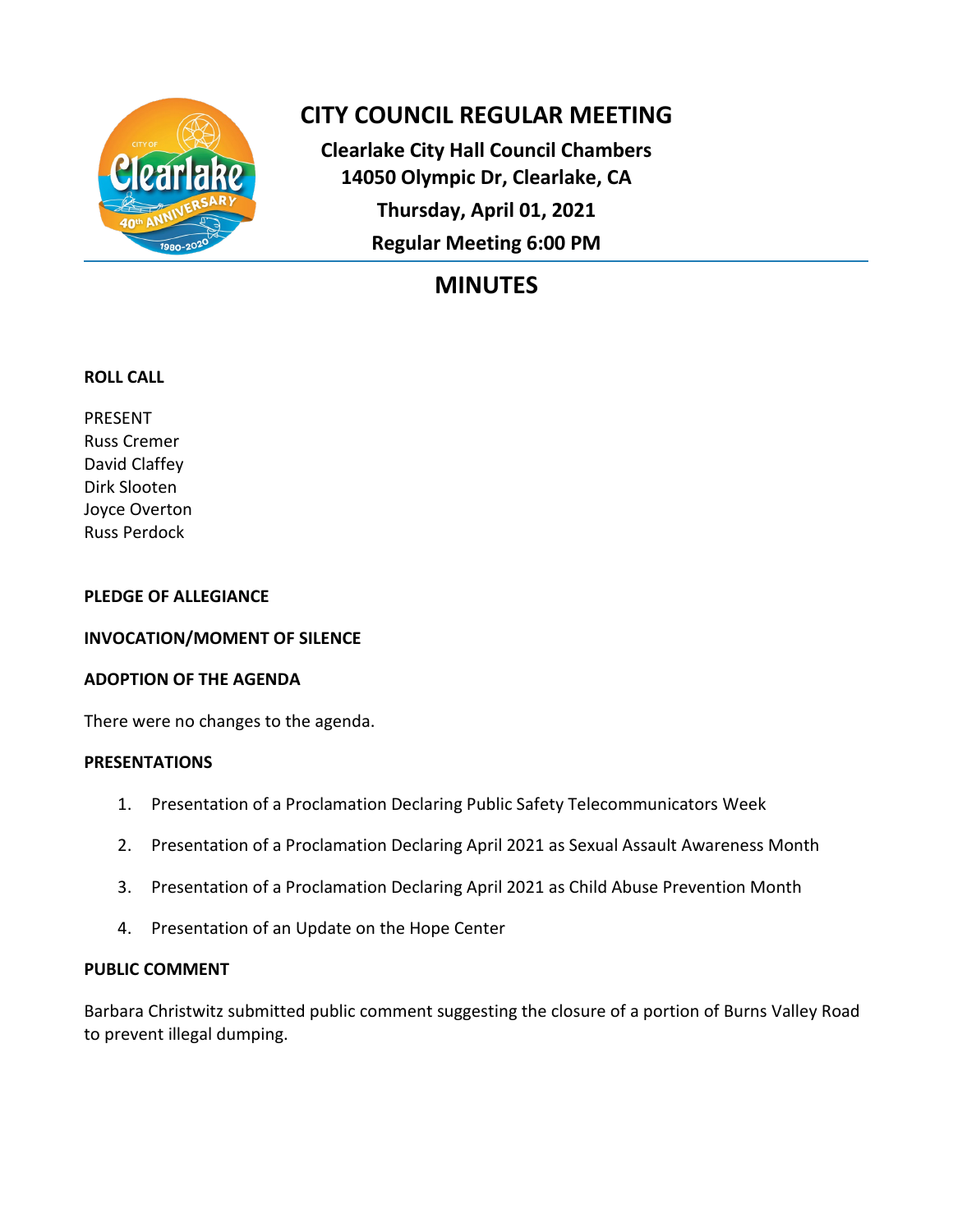

# **CITY COUNCIL REGULAR MEETING**

**Clearlake City Hall Council Chambers 14050 Olympic Dr, Clearlake, CA Thursday, April 01, 2021 Regular Meeting 6:00 PM**

# **MINUTES**

# **ROLL CALL**

PRESENT Russ Cremer David Claffey Dirk Slooten Joyce Overton Russ Perdock

## **PLEDGE OF ALLEGIANCE**

# **INVOCATION/MOMENT OF SILENCE**

## **ADOPTION OF THE AGENDA**

There were no changes to the agenda.

## **PRESENTATIONS**

- 1. Presentation of a Proclamation Declaring Public Safety Telecommunicators Week
- 2. Presentation of a Proclamation Declaring April 2021 as Sexual Assault Awareness Month
- 3. Presentation of a Proclamation Declaring April 2021 as Child Abuse Prevention Month
- 4. Presentation of an Update on the Hope Center

# **PUBLIC COMMENT**

Barbara Christwitz submitted public comment suggesting the closure of a portion of Burns Valley Road to prevent illegal dumping.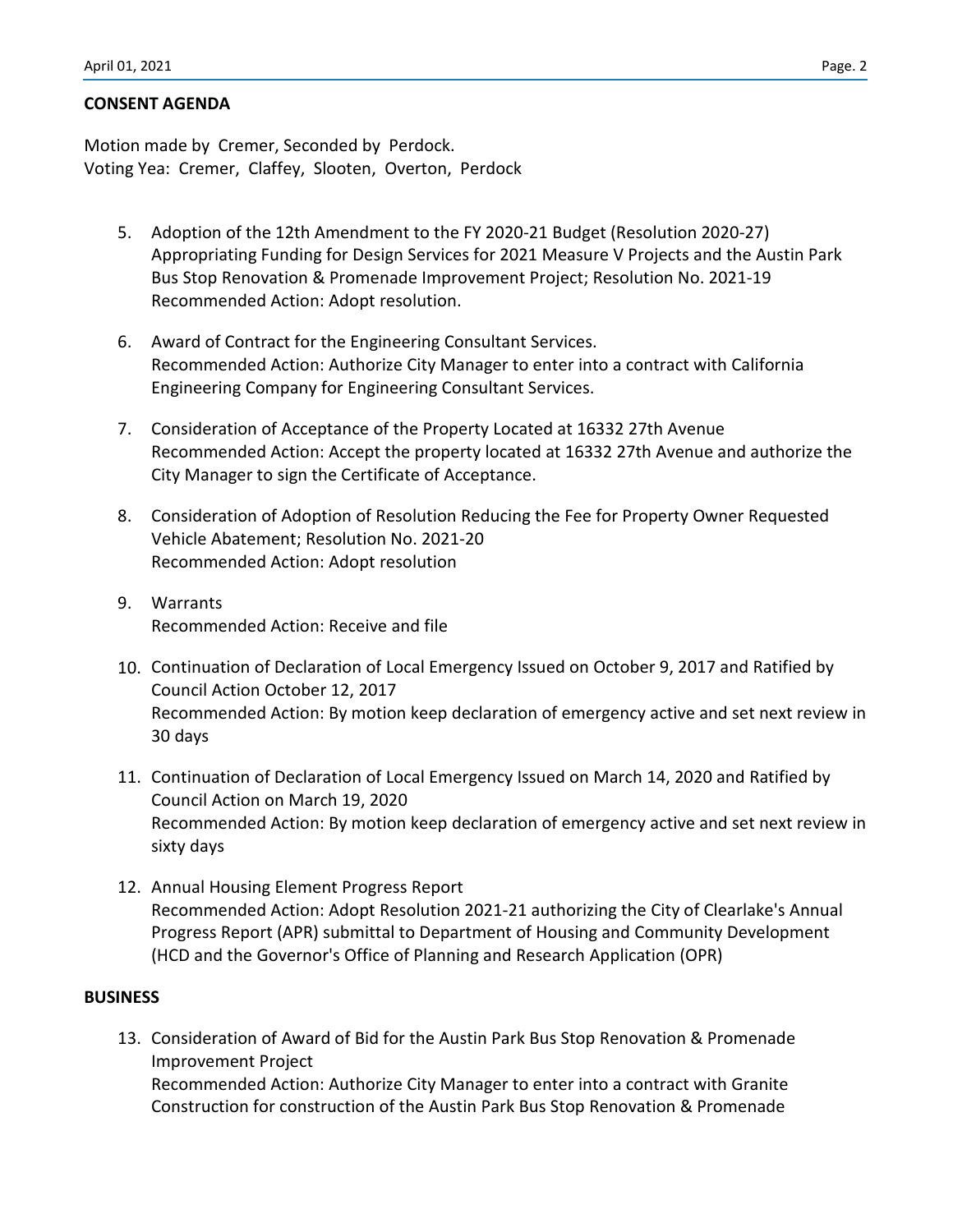### **CONSENT AGENDA**

Motion made by Cremer, Seconded by Perdock. Voting Yea: Cremer, Claffey, Slooten, Overton, Perdock

- 5. Adoption of the 12th Amendment to the FY 2020-21 Budget (Resolution 2020-27) Appropriating Funding for Design Services for 2021 Measure V Projects and the Austin Park Bus Stop Renovation & Promenade Improvement Project; Resolution No. 2021-19 Recommended Action: Adopt resolution.
- 6. Award of Contract for the Engineering Consultant Services. Recommended Action: Authorize City Manager to enter into a contract with California Engineering Company for Engineering Consultant Services.
- 7. Consideration of Acceptance of the Property Located at 16332 27th Avenue Recommended Action: Accept the property located at 16332 27th Avenue and authorize the City Manager to sign the Certificate of Acceptance.
- 8. Consideration of Adoption of Resolution Reducing the Fee for Property Owner Requested Vehicle Abatement; Resolution No. 2021-20 Recommended Action: Adopt resolution
- 9. Warrants Recommended Action: Receive and file
- 10. Continuation of Declaration of Local Emergency Issued on October 9, 2017 and Ratified by Council Action October 12, 2017 Recommended Action: By motion keep declaration of emergency active and set next review in 30 days
- 11. Continuation of Declaration of Local Emergency Issued on March 14, 2020 and Ratified by Council Action on March 19, 2020 Recommended Action: By motion keep declaration of emergency active and set next review in sixty days
- 12. Annual Housing Element Progress Report Recommended Action: Adopt Resolution 2021-21 authorizing the City of Clearlake's Annual Progress Report (APR) submittal to Department of Housing and Community Development (HCD and the Governor's Office of Planning and Research Application (OPR)

#### **BUSINESS**

13. Consideration of Award of Bid for the Austin Park Bus Stop Renovation & Promenade Improvement Project Recommended Action: Authorize City Manager to enter into a contract with Granite Construction for construction of the Austin Park Bus Stop Renovation & Promenade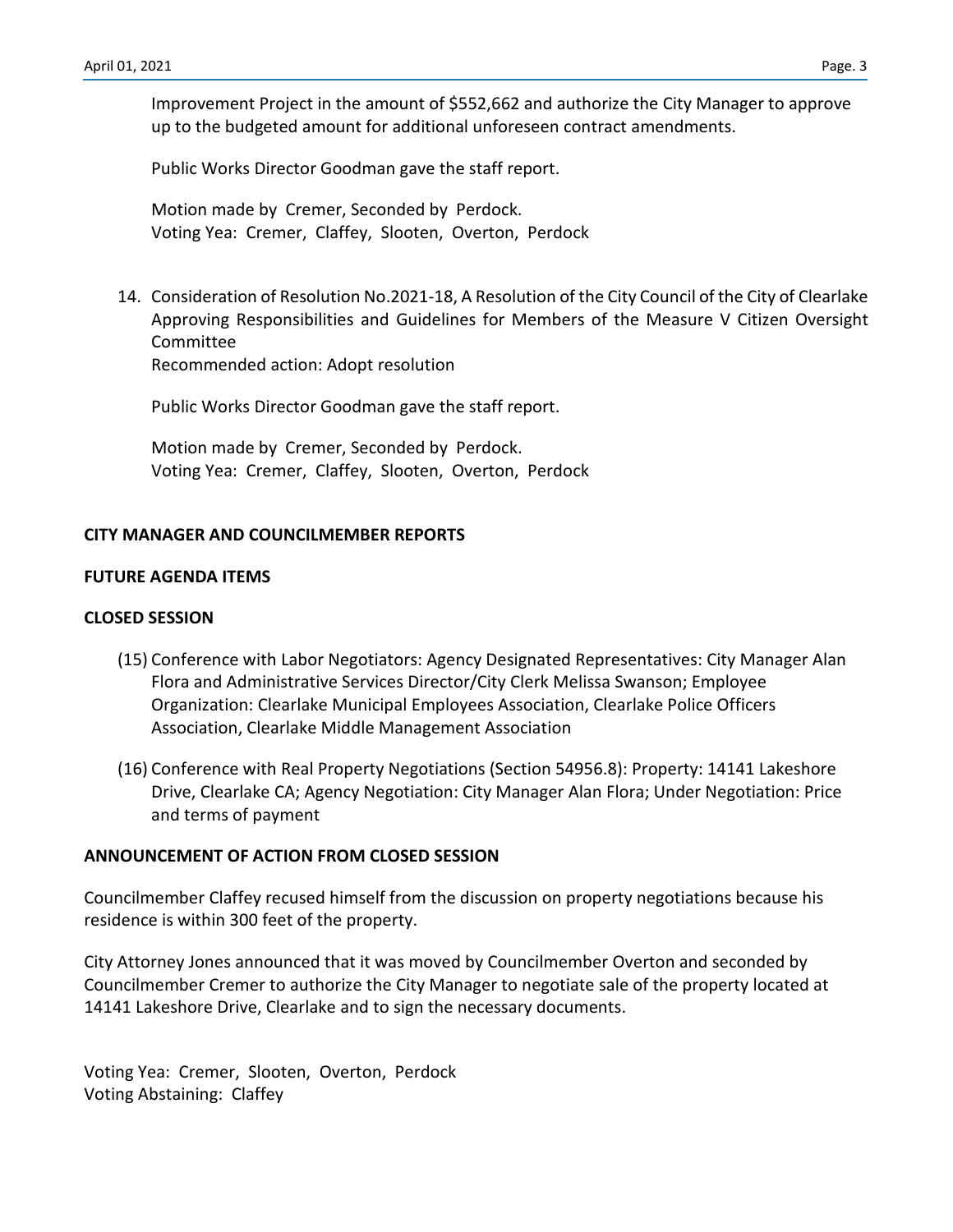Improvement Project in the amount of \$552,662 and authorize the City Manager to approve up to the budgeted amount for additional unforeseen contract amendments.

Public Works Director Goodman gave the staff report.

Motion made by Cremer, Seconded by Perdock. Voting Yea: Cremer, Claffey, Slooten, Overton, Perdock

14. Consideration of Resolution No.2021-18, A Resolution of the City Council of the City of Clearlake Approving Responsibilities and Guidelines for Members of the Measure V Citizen Oversight Committee

Recommended action: Adopt resolution

Public Works Director Goodman gave the staff report.

Motion made by Cremer, Seconded by Perdock. Voting Yea: Cremer, Claffey, Slooten, Overton, Perdock

#### **CITY MANAGER AND COUNCILMEMBER REPORTS**

### **FUTURE AGENDA ITEMS**

#### **CLOSED SESSION**

- (15) Conference with Labor Negotiators: Agency Designated Representatives: City Manager Alan Flora and Administrative Services Director/City Clerk Melissa Swanson; Employee Organization: Clearlake Municipal Employees Association, Clearlake Police Officers Association, Clearlake Middle Management Association
- (16) Conference with Real Property Negotiations (Section 54956.8): Property: 14141 Lakeshore Drive, Clearlake CA; Agency Negotiation: City Manager Alan Flora; Under Negotiation: Price and terms of payment

#### **ANNOUNCEMENT OF ACTION FROM CLOSED SESSION**

Councilmember Claffey recused himself from the discussion on property negotiations because his residence is within 300 feet of the property.

City Attorney Jones announced that it was moved by Councilmember Overton and seconded by Councilmember Cremer to authorize the City Manager to negotiate sale of the property located at 14141 Lakeshore Drive, Clearlake and to sign the necessary documents.

Voting Yea: Cremer, Slooten, Overton, Perdock Voting Abstaining: Claffey